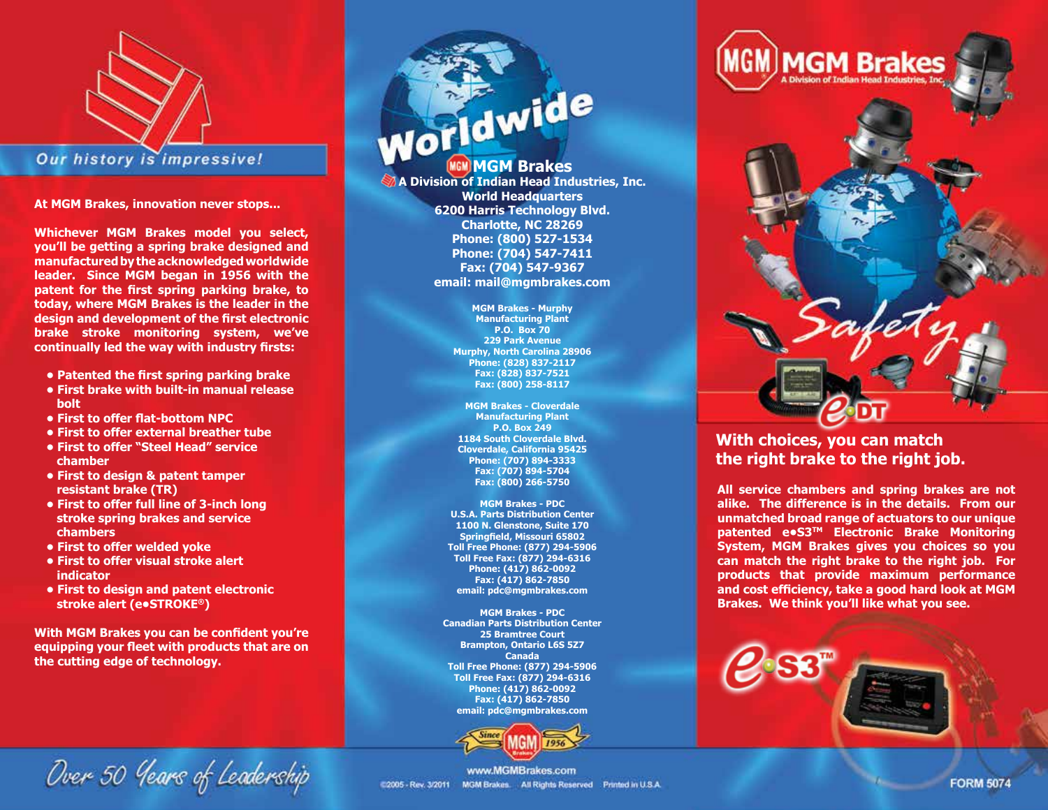

**At MGM Brakes, innovation never stops...**

**Whichever MGM Brakes model you select, you'll be getting a spring brake designed and manufactured by the acknowledged worldwide leader. Since MGM began in 1956 with the patent for the first spring parking brake, to today, where MGM Brakes is the leader in the design and development of the first electronic brake stroke monitoring system, we've continually led the way with industry firsts:**

- **Patented the first spring parking brake**
- **First brake with built-in manual release bolt**
- **First to offer flat-bottom NPC**
- **First to offer external breather tube**
- **First to offer "Steel Head" service chamber**
- **First to design & patent tamper resistant brake (TR)**
- **First to offer full line of 3-inch long stroke spring brakes and service chambers**
- **First to offer welded yoke**
- **First to offer visual stroke alert indicator**
- **First to design and patent electronic stroke alert (e•STROKE®)**

**With MGM Brakes you can be confident you're equipping your fleet with products that are on the cutting edge of technology.** 

**Worldwide** 

**A Division of Indian Head Industries, Inc. World Headquarters 6200 Harris Technology Blvd. Charlotte, NC 28269 Phone: (800) 527-1534 Phone: (704) 547-7411 Fax: (704) 547-9367 email: mail@mgmbrakes.com**

> **MGM Brakes - Murphy Manufacturing Plant P.O. Box 70 229 Park Avenue Murphy, North Carolina 28906 Phone: (828) 837-2117 Fax: (828) 837-7521 Fax: (800) 258-8117**

**MGM Brakes - Cloverdale Manufacturing Plant P.O. Box 249 1184 South Cloverdale Blvd. Cloverdale, California 95425 Phone: (707) 894-3333 Fax: (707) 894-5704 Fax: (800) 266-5750**

**MGM Brakes - PDC U.S.A. Parts Distribution Center 1100 N. Glenstone, Suite 170 Springfield, Missouri 65802 Toll Free Phone: (877) 294-5906 Toll Free Fax: (877) 294-6316 Phone: (417) 862-0092 Fax: (417) 862-7850 email: pdc@mgmbrakes.com**

**MGM Brakes - PDC Canadian Parts Distribution Center 25 Bramtree Court Brampton, Ontario L6S 5Z7 Canada Toll Free Phone: (877) 294-5906 Toll Free Fax: (877) 294-6316 Phone: (417) 862-0092 Fax: (417) 862-7850 email: pdc@mgmbrakes.com**





## **With choices, you can match the right brake to the right job.**

**All service chambers and spring brakes are not alike. The difference is in the details. From our unmatched broad range of actuators to our unique patented e•S3™ Electronic Brake Monitoring System, MGM Brakes gives you choices so you can match the right brake to the right job. For products that provide maximum performance and cost efficiency, take a good hard look at MGM Brakes. We think you'll like what you see.** 



Over 50 Years of Leadership

www.MGMBrakes.com 02005 - Rev. 3/2011 MGM Brakes. All Rights Reserved Printed in U.S.A.

**FORM 5074**